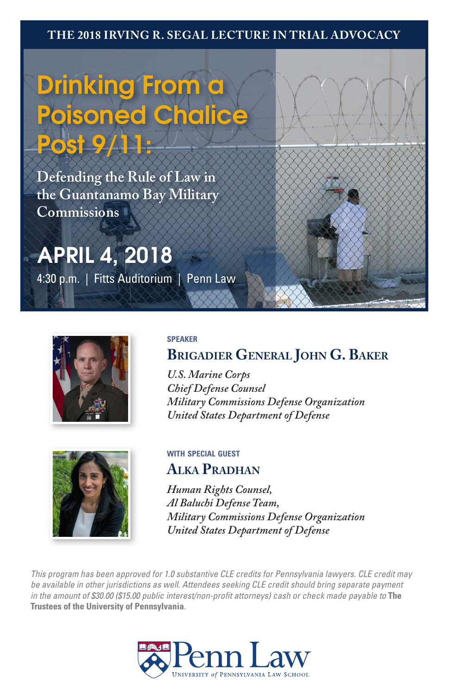#### **THE 2018 IRVING R. SEGAL LECTURE IN TRIAL ADVOCACY**

# **Drinking From a Poisoned Chalice Post 9/11:**

**Defending the Rule of Law in the Guantanamo Bay Military Commissions**

### **APRIL 4, 2018**

4:30 p.m. | Fitts Auditorium | Penn Law





#### **speaker**

**Brigadier General John G. Baker**

*U.S. Marine Corps Chief Defense Counsel Military Commissions Defense Organization United States Department of Defense*

### **with special guest Alka Pradhan**

*Human Rights Counsel, Al Baluchi Defense Team, Military Commissions Defense Organization United States Department of Defense*

*This program has been approved for 1.0 substantive CLE credits for Pennsylvania lawyers. CLE credit may be available in other jurisdictions as well. Attendees seeking CLE credit should bring separate payment in the amount of \$30.00 (\$15.00 public interest/non-profit attorneys) cash or check made payable to* **The Trustees of the University of Pennsylvania***.*

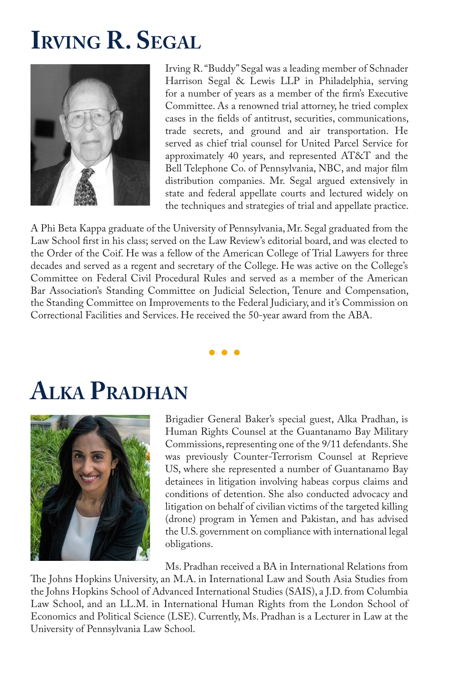### **Irving R. Segal**



Irving R. "Buddy" Segal was a leading member of Schnader Harrison Segal & Lewis LLP in Philadelphia, serving for a number of years as a member of the firm's Executive Committee. As a renowned trial attorney, he tried complex cases in the fields of antitrust, securities, communications, trade secrets, and ground and air transportation. He served as chief trial counsel for United Parcel Service for approximately 40 years, and represented AT&T and the Bell Telephone Co. of Pennsylvania, NBC, and major film distribution companies. Mr. Segal argued extensively in state and federal appellate courts and lectured widely on the techniques and strategies of trial and appellate practice.

A Phi Beta Kappa graduate of the University of Pennsylvania, Mr. Segal graduated from the Law School first in his class; served on the Law Review's editorial board, and was elected to the Order of the Coif. He was a fellow of the American College of Trial Lawyers for three decades and served as a regent and secretary of the College. He was active on the College's Committee on Federal Civil Procedural Rules and served as a member of the American Bar Association's Standing Committee on Judicial Selection, Tenure and Compensation, the Standing Committee on Improvements to the Federal Judiciary, and it's Commission on Correctional Facilities and Services. He received the 50-year award from the ABA.

### **Alka Pradhan**



Brigadier General Baker's special guest, Alka Pradhan, is Human Rights Counsel at the Guantanamo Bay Military Commissions, representing one of the 9/11 defendants. She was previously Counter-Terrorism Counsel at Reprieve US, where she represented a number of Guantanamo Bay detainees in litigation involving habeas corpus claims and conditions of detention. She also conducted advocacy and litigation on behalf of civilian victims of the targeted killing (drone) program in Yemen and Pakistan, and has advised the U.S. government on compliance with international legal obligations.

Ms. Pradhan received a BA in International Relations from

The Johns Hopkins University, an M.A. in International Law and South Asia Studies from the Johns Hopkins School of Advanced International Studies (SAIS), a J.D. from Columbia Law School, and an LL.M. in International Human Rights from the London School of Economics and Political Science (LSE). Currently, Ms. Pradhan is a Lecturer in Law at the University of Pennsylvania Law School.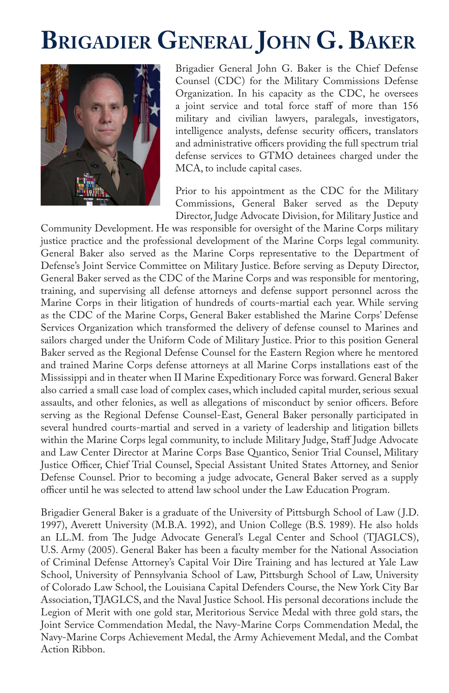## **Brigadier General John G. Baker**



Brigadier General John G. Baker is the Chief Defense Counsel (CDC) for the Military Commissions Defense Organization. In his capacity as the CDC, he oversees a joint service and total force staff of more than 156 military and civilian lawyers, paralegals, investigators, intelligence analysts, defense security officers, translators and administrative officers providing the full spectrum trial defense services to GTMO detainees charged under the MCA, to include capital cases.

Prior to his appointment as the CDC for the Military Commissions, General Baker served as the Deputy Director, Judge Advocate Division, for Military Justice and

Community Development. He was responsible for oversight of the Marine Corps military justice practice and the professional development of the Marine Corps legal community. General Baker also served as the Marine Corps representative to the Department of Defense's Joint Service Committee on Military Justice. Before serving as Deputy Director, General Baker served as the CDC of the Marine Corps and was responsible for mentoring, training, and supervising all defense attorneys and defense support personnel across the Marine Corps in their litigation of hundreds of courts-martial each year. While serving as the CDC of the Marine Corps, General Baker established the Marine Corps' Defense Services Organization which transformed the delivery of defense counsel to Marines and sailors charged under the Uniform Code of Military Justice. Prior to this position General Baker served as the Regional Defense Counsel for the Eastern Region where he mentored and trained Marine Corps defense attorneys at all Marine Corps installations east of the Mississippi and in theater when II Marine Expeditionary Force was forward. General Baker also carried a small case load of complex cases, which included capital murder, serious sexual assaults, and other felonies, as well as allegations of misconduct by senior officers. Before serving as the Regional Defense Counsel-East, General Baker personally participated in several hundred courts-martial and served in a variety of leadership and litigation billets within the Marine Corps legal community, to include Military Judge, Staff Judge Advocate and Law Center Director at Marine Corps Base Quantico, Senior Trial Counsel, Military Justice Officer, Chief Trial Counsel, Special Assistant United States Attorney, and Senior Defense Counsel. Prior to becoming a judge advocate, General Baker served as a supply officer until he was selected to attend law school under the Law Education Program.

Brigadier General Baker is a graduate of the University of Pittsburgh School of Law ( J.D. 1997), Averett University (M.B.A. 1992), and Union College (B.S. 1989). He also holds an LL.M. from The Judge Advocate General's Legal Center and School (TJAGLCS), U.S. Army (2005). General Baker has been a faculty member for the National Association of Criminal Defense Attorney's Capital Voir Dire Training and has lectured at Yale Law School, University of Pennsylvania School of Law, Pittsburgh School of Law, University of Colorado Law School, the Louisiana Capital Defenders Course, the New York City Bar Association, TJAGLCS, and the Naval Justice School. His personal decorations include the Legion of Merit with one gold star, Meritorious Service Medal with three gold stars, the Joint Service Commendation Medal, the Navy-Marine Corps Commendation Medal, the Navy-Marine Corps Achievement Medal, the Army Achievement Medal, and the Combat Action Ribbon.